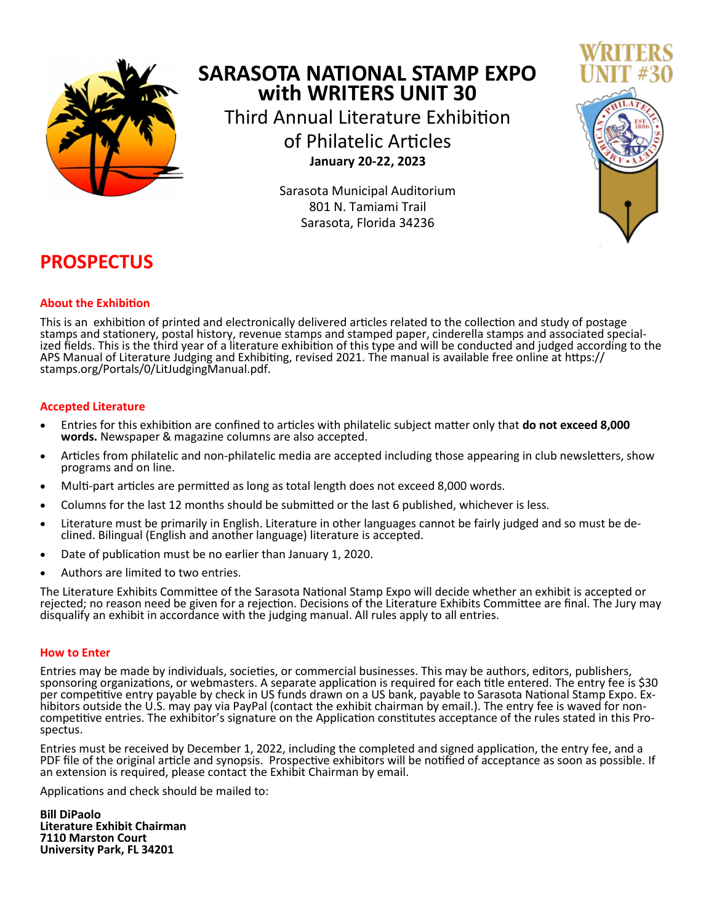

# **SARASOTA NATIONAL STAMP EXPO with WRITERS UNIT 30** Third Annual Literature Exhibition of Philatelic Articles **January 20-22, 2023**

Sarasota Municipal Auditorium 801 N. Tamiami Trail Sarasota, Florida 34236



# **PROSPECTUS**

## **About the Exhibition**

This is an exhibition of printed and electronically delivered articles related to the collection and study of postage stamps and stationery, postal history, revenue stamps and stamped paper, cinderella stamps and associated specialized fields. This is the third year of a literature exhibition of this type and will be conducted and judged according to the APS Manual of Literature Judging and Exhibiting, revised 2021. The manual is available free online at https:// stamps.org/Portals/0/LitJudgingManual.pdf.

## **Accepted Literature**

- Entries for this exhibition are confined to articles with philatelic subject matter only that **do not exceed 8,000 words.** Newspaper & magazine columns are also accepted.
- Articles from philatelic and non-philatelic media are accepted including those appearing in club newsletters, show programs and on line.
- Multi-part articles are permitted as long as total length does not exceed 8,000 words.
- Columns for the last 12 months should be submitted or the last 6 published, whichever is less.
- Literature must be primarily in English. Literature in other languages cannot be fairly judged and so must be declined. Bilingual (English and another language) literature is accepted.
- Date of publication must be no earlier than January 1, 2020.
- Authors are limited to two entries.

The Literature Exhibits Committee of the Sarasota National Stamp Expo will decide whether an exhibit is accepted or rejected; no reason need be given for a rejection. Decisions of the Literature Exhibits Committee are final. The Jury may disqualify an exhibit in accordance with the judging manual. All rules apply to all entries.

### **How to Enter**

Entries may be made by individuals, societies, or commercial businesses. This may be authors, editors, publishers, sponsoring organizations, or webmasters. A separate application is required for each title entered. The entry fee is \$30 per competitive entry payable by check in US funds drawn on a US bank, payable to Sarasota National Stamp Expo. Exhibitors outside the U.S. may pay via PayPal (contact the exhibit chairman by email.). The entry fee is waved for noncompetitive entries. The exhibitor's signature on the Application constitutes acceptance of the rules stated in this Prospectus.

Entries must be received by December 1, 2022, including the completed and signed application, the entry fee, and a PDF file of the original article and synopsis. Prospective exhibitors will be notified of acceptance as soon as possible. If an extension is required, please contact the Exhibit Chairman by email.

Applications and check should be mailed to:

**Bill DiPaolo Literature Exhibit Chairman 7110 Marston Court University Park, FL 34201**